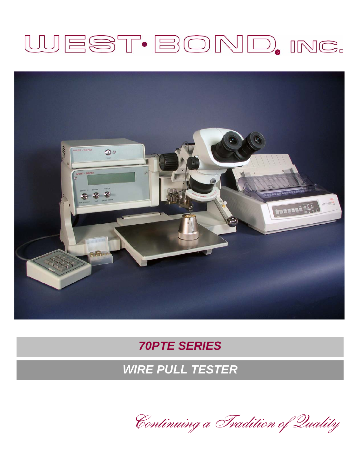# WEST·BOND, INC.



## *70PTE SERIES*

*WIRE PULL TESTER* 

Continuing a Tradition of Quality